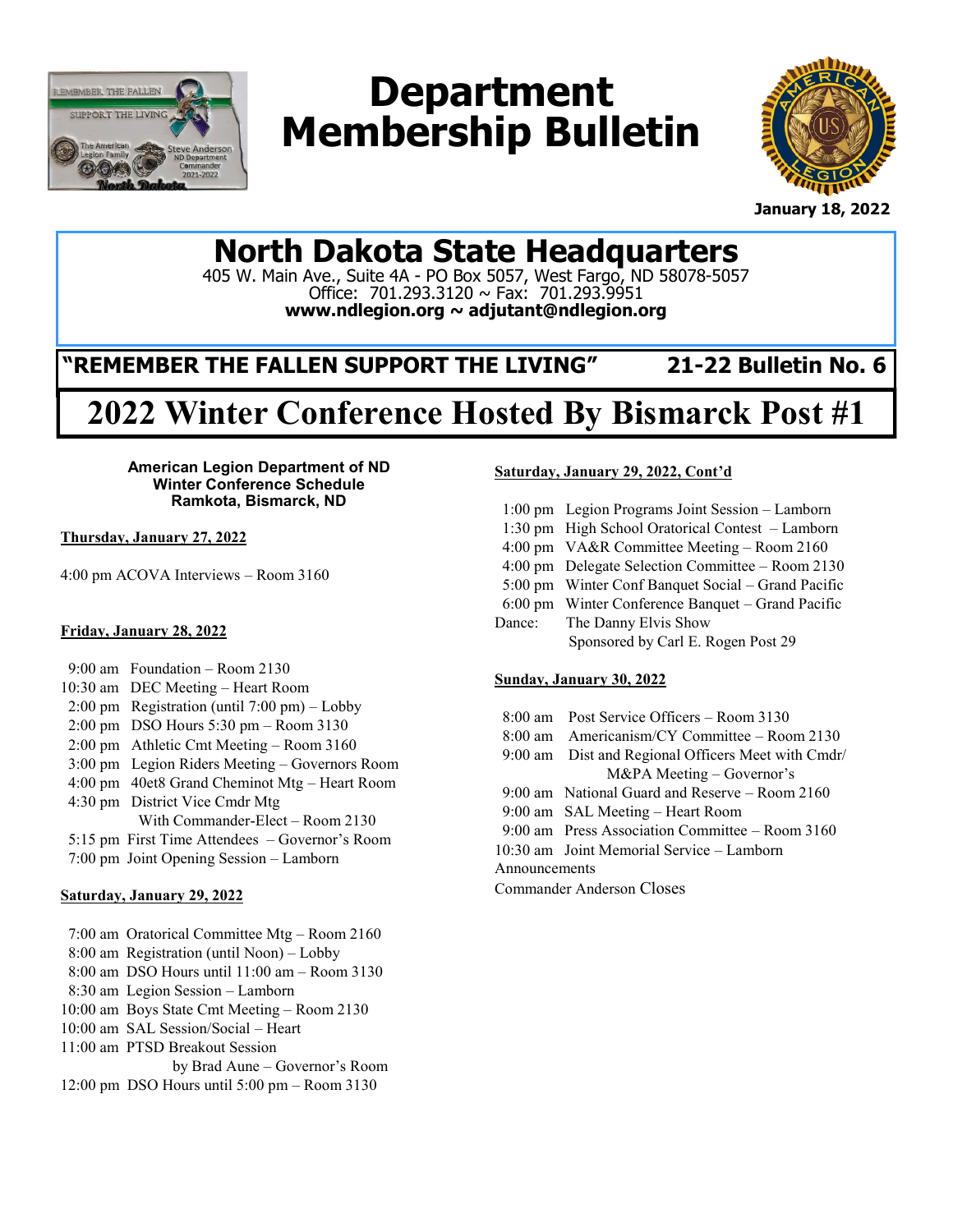

# **Department Membership Bulletin**



**January 18, 2022**

# **North Dakota State Headquarters**

405 W. Main Ave., Suite 4A - PO Box 5057, West Fargo, ND 58078-5057 Office: 701.293.3120 ~ Fax: 701.293.9951 **www.ndlegion.org ~ adjutant@ndlegion.org**

# **"REMEMBER THE FALLEN SUPPORT THE LIVING" 21-22 Bulletin No. 6**

# **2022 Winter Conference Hosted By Bismarck Post #1**

**American Legion Department of ND Winter Conference Schedule Ramkota, Bismarck, ND**

**Thursday, January 27, 2022**

4:00 pm ACOVA Interviews – Room 3160

#### **Friday, January 28, 2022**

- 9:00 am Foundation Room 2130
- 10:30 am DEC Meeting Heart Room
- 2:00 pm Registration (until 7:00 pm) Lobby
- 2:00 pm DSO Hours 5:30 pm Room 3130
- 2:00 pm Athletic Cmt Meeting Room 3160
- 3:00 pm Legion Riders Meeting Governors Room
- 4:00 pm 40et8 Grand Cheminot Mtg Heart Room 4:30 pm District Vice Cmdr Mtg
- With Commander-Elect Room 2130
- 5:15 pm First Time Attendees Governor's Room
- 7:00 pm Joint Opening Session Lamborn
- 

#### **Saturday, January 29, 2022**

- 7:00 am Oratorical Committee Mtg Room 2160
- 8:00 am Registration (until Noon) Lobby
- 8:00 am DSO Hours until 11:00 am Room 3130
- 8:30 am Legion Session Lamborn
- 10:00 am Boys State Cmt Meeting Room 2130
- 10:00 am SAL Session/Social Heart
- 11:00 am PTSD Breakout Session
- by Brad Aune Governor's Room
- 12:00 pm DSO Hours until 5:00 pm Room 3130

#### **Saturday, January 29, 2022, Cont'd**

- 1:00 pm Legion Programs Joint Session Lamborn 1:30 pm High School Oratorical Contest – Lamborn 4:00 pm VA&R Committee Meeting – Room 2160
- 4:00 pm Delegate Selection Committee Room 2130
- 5:00 pm Winter Conf Banquet Social Grand Pacific
- 6:00 pm Winter Conference Banquet Grand Pacific
- Dance: The Danny Elvis Show Sponsored by Carl E. Rogen Post 29

#### **Sunday, January 30, 2022**

- 8:00 am Post Service Officers Room 3130
- 8:00 am Americanism/CY Committee Room 2130
- 9:00 am Dist and Regional Officers Meet with Cmdr/ M&PA Meeting – Governor's
- 9:00 am National Guard and Reserve Room 2160
- 9:00 am SAL Meeting Heart Room
- 9:00 am Press Association Committee Room 3160
- 10:30 am Joint Memorial Service Lamborn

Announcements

Commander Anderson Closes